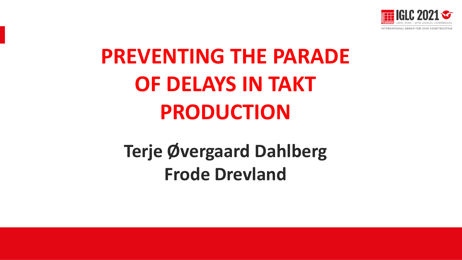

# **PREVENTING THE PARADE OF DELAYS IN TAKT PRODUCTION**

# **Terje Øvergaard Dahlberg Frode Drevland**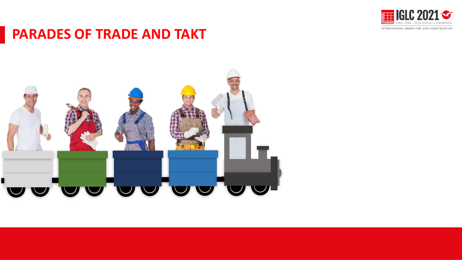

**PARADES OF TRADE AND TAKT**

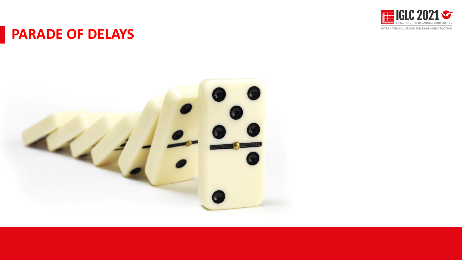

**PARADE OF DELAYS**

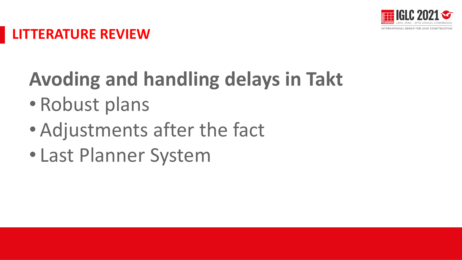

## **LITTERATURE REVIEW**

# **Avoding and handling delays in Takt**

- Robust plans
- Adjustments after the fact
- Last Planner System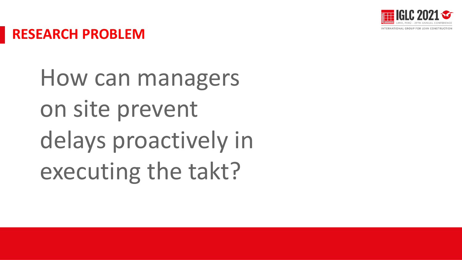

#### **RESEARCH PROBLEM**

# How can managers on site prevent delays proactively in executing the takt?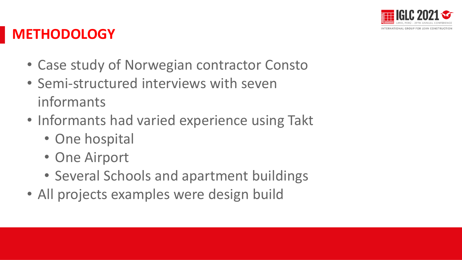

## **METHODOLOGY**

- Case study of Norwegian contractor Consto
- Semi-structured interviews with seven informants
- Informants had varied experience using Takt
	- One hospital
	- One Airport
	- Several Schools and apartment buildings
- All projects examples were design build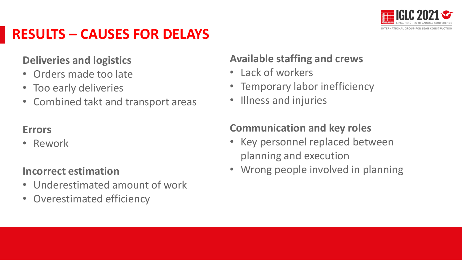

## **RESULTS – CAUSES FOR DELAYS**

#### **Deliveries and logistics**

- Orders made too late
- Too early deliveries
- Combined takt and transport areas

#### **Errors**

• Rework

#### **Incorrect estimation**

- Underestimated amount of work
- Overestimated efficiency

#### **Available staffing and crews**

- Lack of workers
- Temporary labor inefficiency
- Illness and injuries

#### **Communication and key roles**

- Key personnel replaced between planning and execution
- Wrong people involved in planning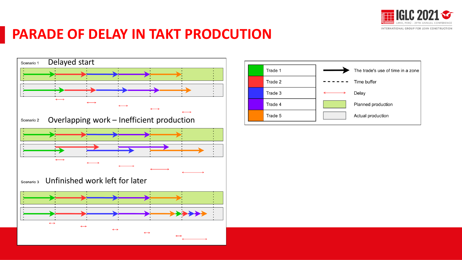

### **PARADE OF DELAY IN TAKT PRODCUTION**



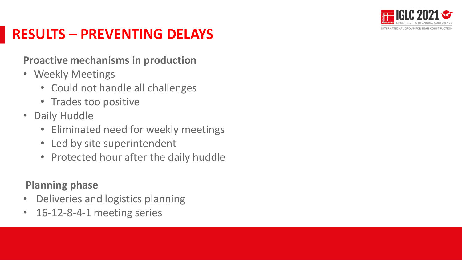

# **RESULTS – PREVENTING DELAYS**

#### **Proactive mechanisms in production**

- Weekly Meetings
	- Could not handle all challenges
	- Trades too positive
- Daily Huddle
	- Eliminated need for weekly meetings
	- Led by site superintendent
	- Protected hour after the daily huddle

#### **Planning phase**

- Deliveries and logistics planning
- 16-12-8-4-1 meeting series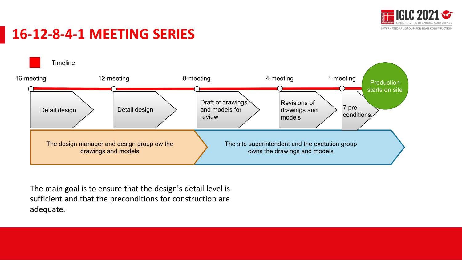

# **16-12-8-4-1 MEETING SERIES**



The main goal is to ensure that the design's detail level is sufficient and that the preconditions for construction are adequate.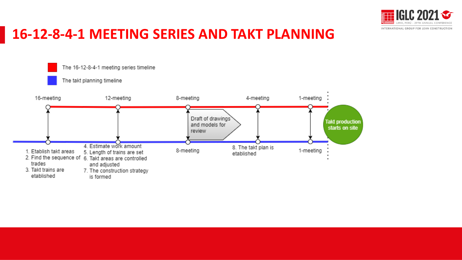

### **16-12-8-4-1 MEETING SERIES AND TAKT PLANNING**



The 16-12-8-4-1 meeting series timeline

The takt planning timeline

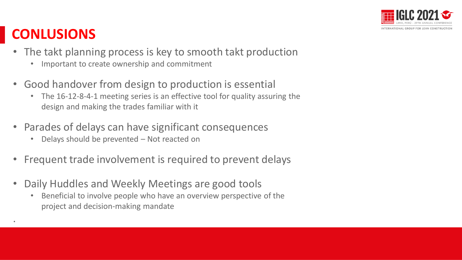

# **CONLUSIONS**

.

- The takt planning process is key to smooth takt production
	- Important to create ownership and commitment
- Good handover from design to production is essential
	- The 16-12-8-4-1 meeting series is an effective tool for quality assuring the design and making the trades familiar with it
- Parades of delays can have significant consequences
	- Delays should be prevented Not reacted on
- Frequent trade involvement is required to prevent delays
- Daily Huddles and Weekly Meetings are good tools
	- Beneficial to involve people who have an overview perspective of the project and decision-making mandate